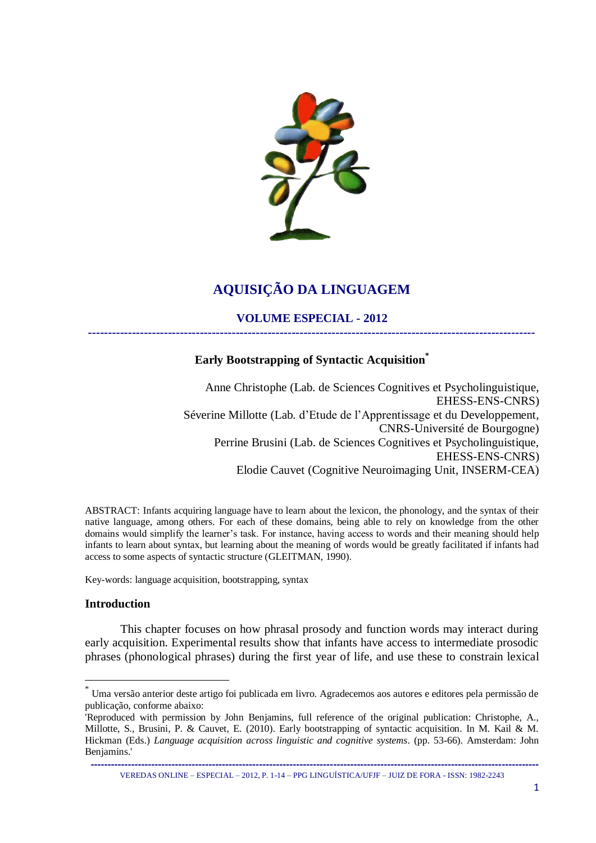

# **AQUISIÇÃO DA LINGUAGEM**

## **VOLUME ESPECIAL - 2012**

#### **----------------------------------------------------------------------------------------------------------------**

## **Early Bootstrapping of Syntactic Acquisition \***

Anne Christophe (Lab. de Sciences Cognitives et Psycholinguistique, EHESS-ENS-CNRS) Séverine Millotte (Lab. d"Etude de l"Apprentissage et du Developpement, CNRS-Université de Bourgogne) Perrine Brusini (Lab. de Sciences Cognitives et Psycholinguistique, EHESS-ENS-CNRS) Elodie Cauvet (Cognitive Neuroimaging Unit, INSERM-CEA)

ABSTRACT: Infants acquiring language have to learn about the lexicon, the phonology, and the syntax of their native language, among others. For each of these domains, being able to rely on knowledge from the other domains would simplify the learner"s task. For instance, having access to words and their meaning should help infants to learn about syntax, but learning about the meaning of words would be greatly facilitated if infants had access to some aspects of syntactic structure (GLEITMAN, 1990).

Key-words: language acquisition, bootstrapping, syntax

#### **Introduction**

 $\overline{a}$ 

This chapter focuses on how phrasal prosody and function words may interact during early acquisition. Experimental results show that infants have access to intermediate prosodic phrases (phonological phrases) during the first year of life, and use these to constrain lexical

**-------------------------------------------------------------------------------------------------------------------------------------** VEREDAS ONLINE – ESPECIAL – 2012, P. 1-14 – PPG LINGUÍSTICA/UFJF – JUIZ DE FORA - ISSN: 1982-2243

<sup>\*</sup> Uma versão anterior deste artigo foi publicada em livro. Agradecemos aos autores e editores pela permissão de publicação, conforme abaixo:

<sup>&#</sup>x27;Reproduced with permission by John Benjamins, full reference of the original publication: Christophe, A., Millotte, S., Brusini, P. & Cauvet, E. (2010). Early bootstrapping of syntactic acquisition. In M. Kail & M. Hickman (Eds.) *Language acquisition across linguistic and cognitive systems*. (pp. 53-66). Amsterdam: John Benjamins.'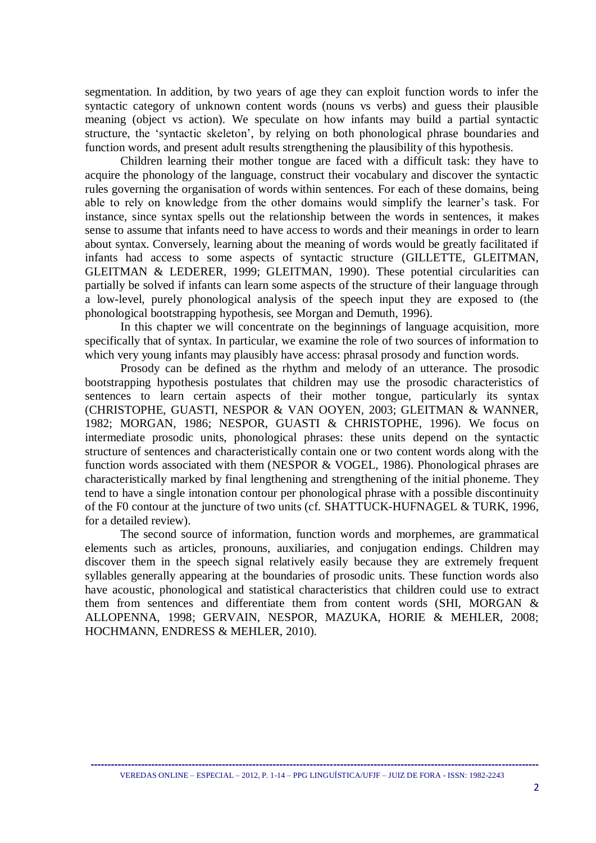segmentation. In addition, by two years of age they can exploit function words to infer the syntactic category of unknown content words (nouns vs verbs) and guess their plausible meaning (object vs action). We speculate on how infants may build a partial syntactic structure, the "syntactic skeleton", by relying on both phonological phrase boundaries and function words, and present adult results strengthening the plausibility of this hypothesis.

Children learning their mother tongue are faced with a difficult task: they have to acquire the phonology of the language, construct their vocabulary and discover the syntactic rules governing the organisation of words within sentences. For each of these domains, being able to rely on knowledge from the other domains would simplify the learner"s task. For instance, since syntax spells out the relationship between the words in sentences, it makes sense to assume that infants need to have access to words and their meanings in order to learn about syntax. Conversely, learning about the meaning of words would be greatly facilitated if infants had access to some aspects of syntactic structure (GILLETTE, GLEITMAN, GLEITMAN & LEDERER, 1999; GLEITMAN, 1990). These potential circularities can partially be solved if infants can learn some aspects of the structure of their language through a low-level, purely phonological analysis of the speech input they are exposed to (the phonological bootstrapping hypothesis, see Morgan and Demuth, 1996).

In this chapter we will concentrate on the beginnings of language acquisition, more specifically that of syntax. In particular, we examine the role of two sources of information to which very young infants may plausibly have access: phrasal prosody and function words.

Prosody can be defined as the rhythm and melody of an utterance. The prosodic bootstrapping hypothesis postulates that children may use the prosodic characteristics of sentences to learn certain aspects of their mother tongue, particularly its syntax (CHRISTOPHE, GUASTI, NESPOR & VAN OOYEN, 2003; GLEITMAN & WANNER, 1982; MORGAN, 1986; NESPOR, GUASTI & CHRISTOPHE, 1996). We focus on intermediate prosodic units, phonological phrases: these units depend on the syntactic structure of sentences and characteristically contain one or two content words along with the function words associated with them (NESPOR & VOGEL, 1986). Phonological phrases are characteristically marked by final lengthening and strengthening of the initial phoneme. They tend to have a single intonation contour per phonological phrase with a possible discontinuity of the F0 contour at the juncture of two units (cf. SHATTUCK-HUFNAGEL & TURK, 1996, for a detailed review).

The second source of information, function words and morphemes, are grammatical elements such as articles, pronouns, auxiliaries, and conjugation endings. Children may discover them in the speech signal relatively easily because they are extremely frequent syllables generally appearing at the boundaries of prosodic units. These function words also have acoustic, phonological and statistical characteristics that children could use to extract them from sentences and differentiate them from content words (SHI, MORGAN  $&$ ALLOPENNA, 1998; GERVAIN, NESPOR, MAZUKA, HORIE & MEHLER, 2008; HOCHMANN, ENDRESS & MEHLER, 2010).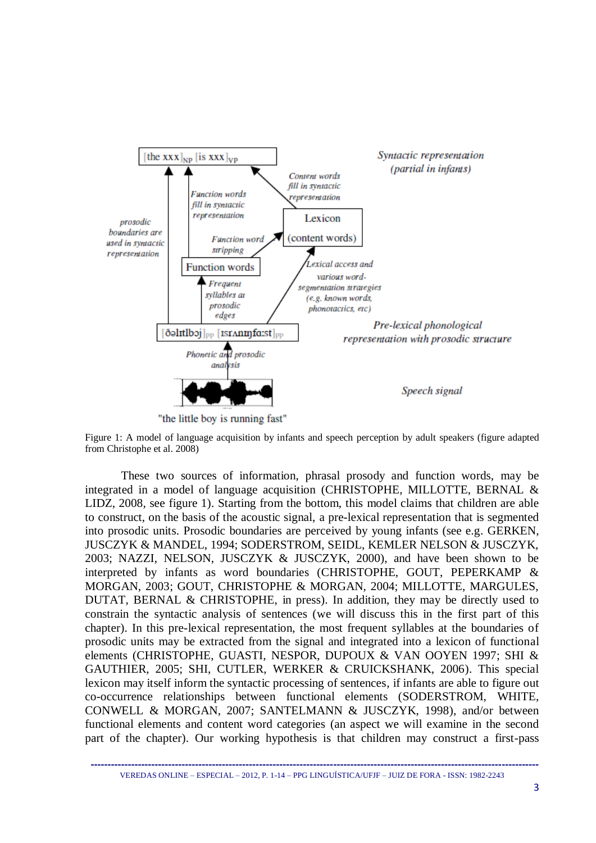

Figure 1: A model of language acquisition by infants and speech perception by adult speakers (figure adapted from Christophe et al. 2008)

These two sources of information, phrasal prosody and function words, may be integrated in a model of language acquisition (CHRISTOPHE, MILLOTTE, BERNAL & LIDZ, 2008, see figure 1). Starting from the bottom, this model claims that children are able to construct, on the basis of the acoustic signal, a pre-lexical representation that is segmented into prosodic units. Prosodic boundaries are perceived by young infants (see e.g. GERKEN, JUSCZYK & MANDEL, 1994; SODERSTROM, SEIDL, KEMLER NELSON & JUSCZYK, 2003; NAZZI, NELSON, JUSCZYK & JUSCZYK, 2000), and have been shown to be interpreted by infants as word boundaries (CHRISTOPHE, GOUT, PEPERKAMP & MORGAN, 2003; GOUT, CHRISTOPHE & MORGAN, 2004; MILLOTTE, MARGULES, DUTAT, BERNAL & CHRISTOPHE, in press). In addition, they may be directly used to constrain the syntactic analysis of sentences (we will discuss this in the first part of this chapter). In this pre-lexical representation, the most frequent syllables at the boundaries of prosodic units may be extracted from the signal and integrated into a lexicon of functional elements (CHRISTOPHE, GUASTI, NESPOR, DUPOUX & VAN OOYEN 1997; SHI & GAUTHIER, 2005; SHI, CUTLER, WERKER & CRUICKSHANK, 2006). This special lexicon may itself inform the syntactic processing of sentences, if infants are able to figure out co-occurrence relationships between functional elements (SODERSTROM, WHITE, CONWELL & MORGAN, 2007; SANTELMANN & JUSCZYK, 1998), and/or between functional elements and content word categories (an aspect we will examine in the second part of the chapter). Our working hypothesis is that children may construct a first-pass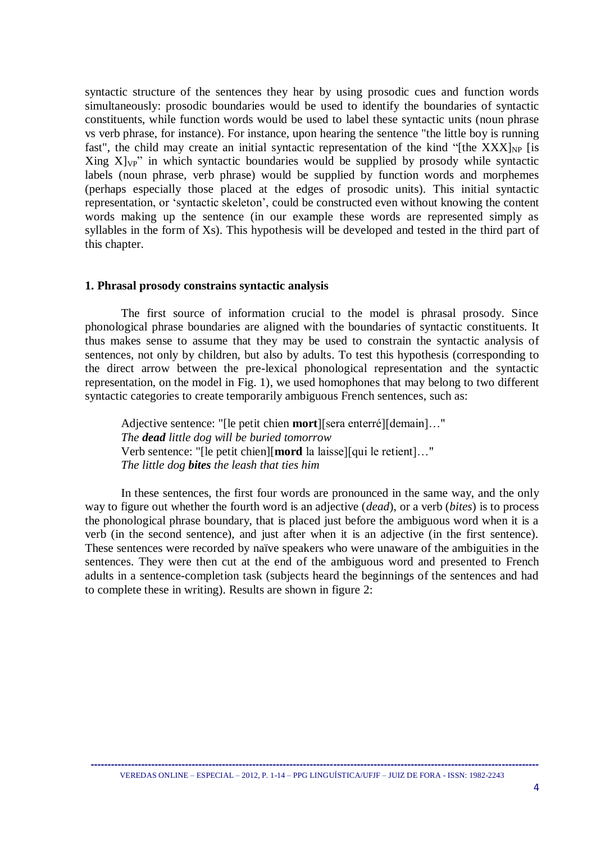syntactic structure of the sentences they hear by using prosodic cues and function words simultaneously: prosodic boundaries would be used to identify the boundaries of syntactic constituents, while function words would be used to label these syntactic units (noun phrase vs verb phrase, for instance). For instance, upon hearing the sentence "the little boy is running fast", the child may create an initial syntactic representation of the kind "[the  $\frac{XX}{N}$ ] Xing  $X|_{VP}$ " in which syntactic boundaries would be supplied by prosody while syntactic labels (noun phrase, verb phrase) would be supplied by function words and morphemes (perhaps especially those placed at the edges of prosodic units). This initial syntactic representation, or "syntactic skeleton", could be constructed even without knowing the content words making up the sentence (in our example these words are represented simply as syllables in the form of Xs). This hypothesis will be developed and tested in the third part of this chapter.

#### **1. Phrasal prosody constrains syntactic analysis**

The first source of information crucial to the model is phrasal prosody. Since phonological phrase boundaries are aligned with the boundaries of syntactic constituents. It thus makes sense to assume that they may be used to constrain the syntactic analysis of sentences, not only by children, but also by adults. To test this hypothesis (corresponding to the direct arrow between the pre-lexical phonological representation and the syntactic representation, on the model in Fig. 1), we used homophones that may belong to two different syntactic categories to create temporarily ambiguous French sentences, such as:

Adjective sentence: "[le petit chien **mort**][sera enterré][demain]…" *The dead little dog will be buried tomorrow* Verb sentence: "[le petit chien][**mord** la laisse][qui le retient]…" *The little dog bites the leash that ties him*

In these sentences, the first four words are pronounced in the same way, and the only way to figure out whether the fourth word is an adjective (*dead*), or a verb (*bites*) is to process the phonological phrase boundary, that is placed just before the ambiguous word when it is a verb (in the second sentence), and just after when it is an adjective (in the first sentence). These sentences were recorded by naïve speakers who were unaware of the ambiguities in the sentences. They were then cut at the end of the ambiguous word and presented to French adults in a sentence-completion task (subjects heard the beginnings of the sentences and had to complete these in writing). Results are shown in figure 2: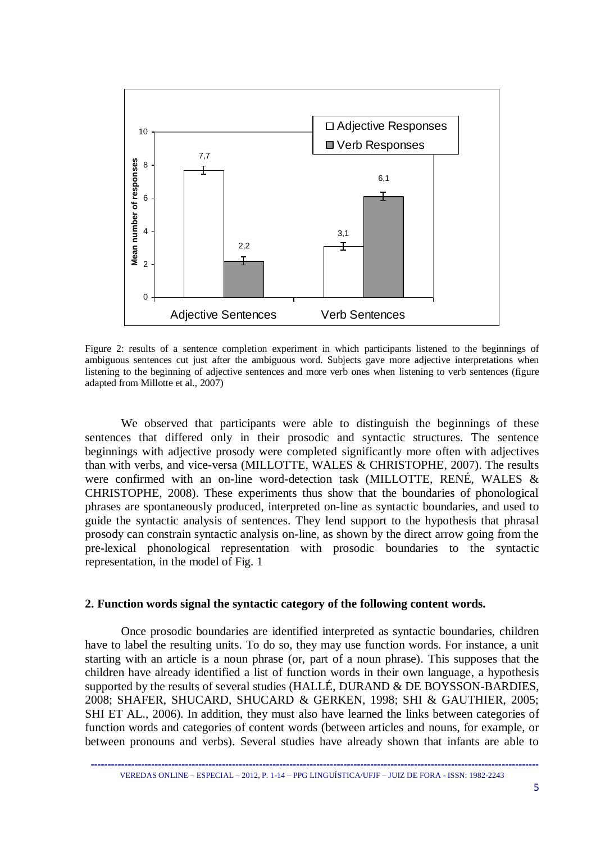

Figure 2: results of a sentence completion experiment in which participants listened to the beginnings of ambiguous sentences cut just after the ambiguous word. Subjects gave more adjective interpretations when listening to the beginning of adjective sentences and more verb ones when listening to verb sentences (figure adapted from Millotte et al., 2007)

We observed that participants were able to distinguish the beginnings of these sentences that differed only in their prosodic and syntactic structures. The sentence beginnings with adjective prosody were completed significantly more often with adjectives than with verbs, and vice-versa (MILLOTTE, WALES & CHRISTOPHE, 2007). The results were confirmed with an on-line word-detection task (MILLOTTE, RENÉ, WALES & CHRISTOPHE, 2008). These experiments thus show that the boundaries of phonological phrases are spontaneously produced, interpreted on-line as syntactic boundaries, and used to guide the syntactic analysis of sentences. They lend support to the hypothesis that phrasal prosody can constrain syntactic analysis on-line, as shown by the direct arrow going from the pre-lexical phonological representation with prosodic boundaries to the syntactic representation, in the model of Fig. 1

#### **2. Function words signal the syntactic category of the following content words.**

Once prosodic boundaries are identified interpreted as syntactic boundaries, children have to label the resulting units. To do so, they may use function words. For instance, a unit starting with an article is a noun phrase (or, part of a noun phrase). This supposes that the children have already identified a list of function words in their own language, a hypothesis supported by the results of several studies (HALLÉ, DURAND & DE BOYSSON-BARDIES, 2008; SHAFER, SHUCARD, SHUCARD & GERKEN, 1998; SHI & GAUTHIER, 2005; SHI ET AL., 2006). In addition, they must also have learned the links between categories of function words and categories of content words (between articles and nouns, for example, or between pronouns and verbs). Several studies have already shown that infants are able to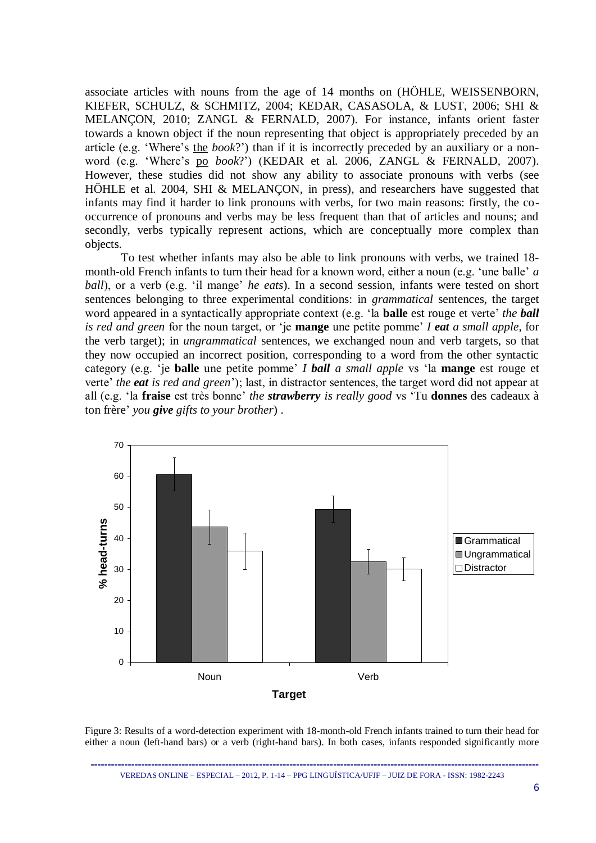associate articles with nouns from the age of 14 months on (HÖHLE, WEISSENBORN, KIEFER, SCHULZ, & SCHMITZ, 2004; KEDAR, CASASOLA, & LUST, 2006; SHI & MELANÇON, 2010; ZANGL & FERNALD, 2007). For instance, infants orient faster towards a known object if the noun representing that object is appropriately preceded by an article (e.g. "Where"s the *book*?") than if it is incorrectly preceded by an auxiliary or a nonword (e.g. "Where"s po *book*?") (KEDAR et al. 2006, ZANGL & FERNALD, 2007). However, these studies did not show any ability to associate pronouns with verbs (see HÖHLE et al. 2004, SHI & MELANÇON, in press), and researchers have suggested that infants may find it harder to link pronouns with verbs, for two main reasons: firstly, the cooccurrence of pronouns and verbs may be less frequent than that of articles and nouns; and secondly, verbs typically represent actions, which are conceptually more complex than objects.

To test whether infants may also be able to link pronouns with verbs, we trained 18 month-old French infants to turn their head for a known word, either a noun (e.g. "une balle" *a ball*), or a verb (e.g. 'il mange' *he eats*). In a second session, infants were tested on short sentences belonging to three experimental conditions: in *grammatical* sentences, the target word appeared in a syntactically appropriate context (e.g. "la **balle** est rouge et verte" *the ball is red and green* for the noun target, or "je **mange** une petite pomme" *I eat a small apple*, for the verb target); in *ungrammatical* sentences, we exchanged noun and verb targets, so that they now occupied an incorrect position, corresponding to a word from the other syntactic category (e.g. "je **balle** une petite pomme" *I ball a small apple* vs "la **mange** est rouge et verte" *the eat is red and green*"); last, in distractor sentences, the target word did not appear at all (e.g. "la **fraise** est très bonne" *the strawberry is really good* vs "Tu **donnes** des cadeaux à ton frère" *you give gifts to your brother*) .



Figure 3: Results of a word-detection experiment with 18-month-old French infants trained to turn their head for either a noun (left-hand bars) or a verb (right-hand bars). In both cases, infants responded significantly more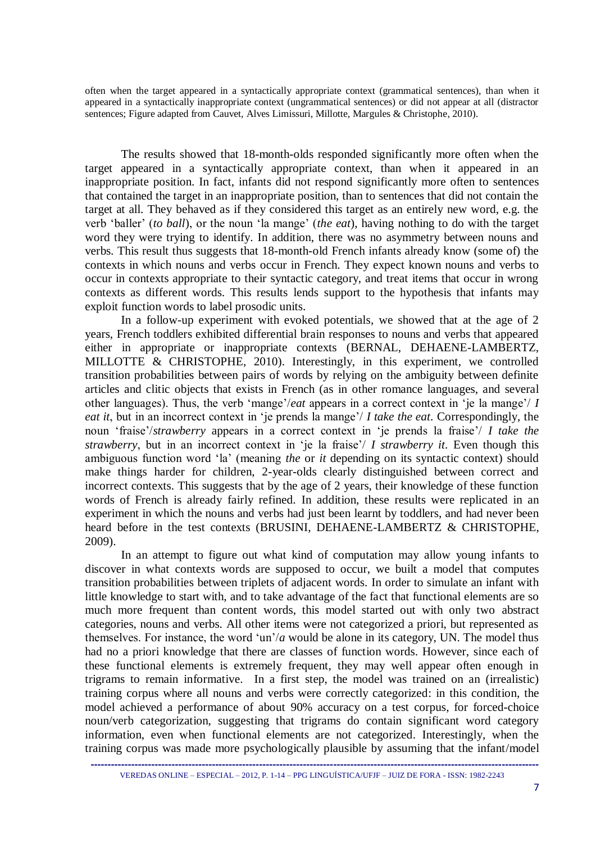often when the target appeared in a syntactically appropriate context (grammatical sentences), than when it appeared in a syntactically inappropriate context (ungrammatical sentences) or did not appear at all (distractor sentences; Figure adapted from Cauvet, Alves Limissuri, Millotte, Margules & Christophe, 2010).

The results showed that 18-month-olds responded significantly more often when the target appeared in a syntactically appropriate context, than when it appeared in an inappropriate position. In fact, infants did not respond significantly more often to sentences that contained the target in an inappropriate position, than to sentences that did not contain the target at all. They behaved as if they considered this target as an entirely new word, e.g. the verb "baller" (*to ball*), or the noun "la mange" (*the eat*), having nothing to do with the target word they were trying to identify. In addition, there was no asymmetry between nouns and verbs. This result thus suggests that 18-month-old French infants already know (some of) the contexts in which nouns and verbs occur in French. They expect known nouns and verbs to occur in contexts appropriate to their syntactic category, and treat items that occur in wrong contexts as different words. This results lends support to the hypothesis that infants may exploit function words to label prosodic units.

In a follow-up experiment with evoked potentials, we showed that at the age of 2 years, French toddlers exhibited differential brain responses to nouns and verbs that appeared either in appropriate or inappropriate contexts (BERNAL, DEHAENE-LAMBERTZ, MILLOTTE & CHRISTOPHE, 2010). Interestingly, in this experiment, we controlled transition probabilities between pairs of words by relying on the ambiguity between definite articles and clitic objects that exists in French (as in other romance languages, and several other languages). Thus, the verb 'mange'/eat appears in a correct context in 'je la mange'/ *I eat it*, but in an incorrect context in 'je prends la mange'/ *I take the eat*. Correspondingly, the noun "fraise"/*strawberry* appears in a correct context in "je prends la fraise"/ *I take the strawberry*, but in an incorrect context in 'je la fraise'/ *I strawberry it*. Even though this ambiguous function word "la" (meaning *the* or *it* depending on its syntactic context) should make things harder for children, 2-year-olds clearly distinguished between correct and incorrect contexts. This suggests that by the age of 2 years, their knowledge of these function words of French is already fairly refined. In addition, these results were replicated in an experiment in which the nouns and verbs had just been learnt by toddlers, and had never been heard before in the test contexts (BRUSINI, DEHAENE-LAMBERTZ & CHRISTOPHE, 2009).

In an attempt to figure out what kind of computation may allow young infants to discover in what contexts words are supposed to occur, we built a model that computes transition probabilities between triplets of adjacent words. In order to simulate an infant with little knowledge to start with, and to take advantage of the fact that functional elements are so much more frequent than content words, this model started out with only two abstract categories, nouns and verbs. All other items were not categorized a priori, but represented as themselves. For instance, the word "un"/*a* would be alone in its category, UN. The model thus had no a priori knowledge that there are classes of function words. However, since each of these functional elements is extremely frequent, they may well appear often enough in trigrams to remain informative. In a first step, the model was trained on an (irrealistic) training corpus where all nouns and verbs were correctly categorized: in this condition, the model achieved a performance of about 90% accuracy on a test corpus, for forced-choice noun/verb categorization, suggesting that trigrams do contain significant word category information, even when functional elements are not categorized. Interestingly, when the training corpus was made more psychologically plausible by assuming that the infant/model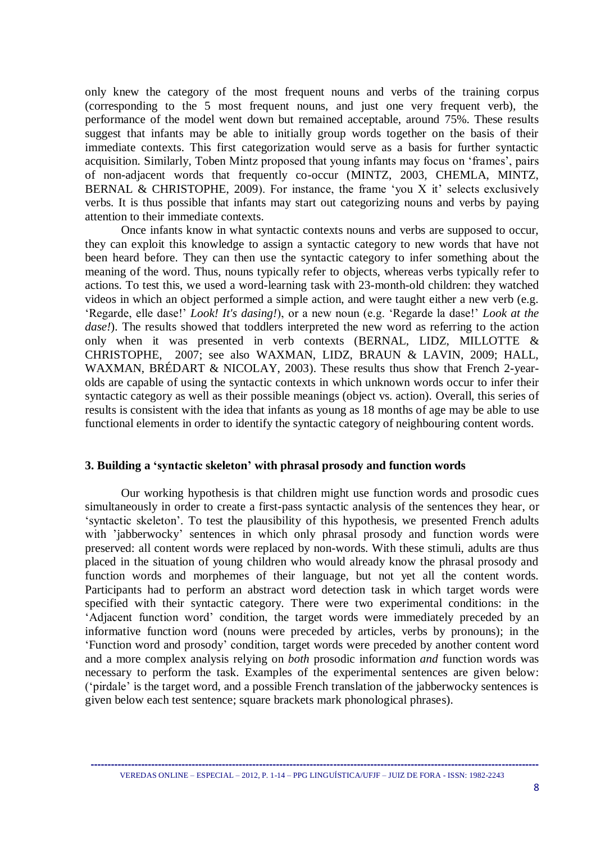only knew the category of the most frequent nouns and verbs of the training corpus (corresponding to the 5 most frequent nouns, and just one very frequent verb), the performance of the model went down but remained acceptable, around 75%. These results suggest that infants may be able to initially group words together on the basis of their immediate contexts. This first categorization would serve as a basis for further syntactic acquisition. Similarly, Toben Mintz proposed that young infants may focus on "frames", pairs of non-adjacent words that frequently co-occur (MINTZ, 2003, CHEMLA, MINTZ, BERNAL & CHRISTOPHE, 2009). For instance, the frame 'you X it' selects exclusively verbs. It is thus possible that infants may start out categorizing nouns and verbs by paying attention to their immediate contexts.

Once infants know in what syntactic contexts nouns and verbs are supposed to occur, they can exploit this knowledge to assign a syntactic category to new words that have not been heard before. They can then use the syntactic category to infer something about the meaning of the word. Thus, nouns typically refer to objects, whereas verbs typically refer to actions. To test this, we used a word-learning task with 23-month-old children: they watched videos in which an object performed a simple action, and were taught either a new verb (e.g. "Regarde, elle dase!" *Look! It's dasing!*), or a new noun (e.g. "Regarde la dase!" *Look at the dase!*). The results showed that toddlers interpreted the new word as referring to the action only when it was presented in verb contexts (BERNAL, LIDZ, MILLOTTE & CHRISTOPHE, 2007; see also WAXMAN, LIDZ, BRAUN & LAVIN, 2009; HALL, WAXMAN, BRÉDART & NICOLAY, 2003). These results thus show that French 2-yearolds are capable of using the syntactic contexts in which unknown words occur to infer their syntactic category as well as their possible meanings (object vs. action). Overall, this series of results is consistent with the idea that infants as young as 18 months of age may be able to use functional elements in order to identify the syntactic category of neighbouring content words.

#### **3. Building a 'syntactic skeleton' with phrasal prosody and function words**

Our working hypothesis is that children might use function words and prosodic cues simultaneously in order to create a first-pass syntactic analysis of the sentences they hear, or "syntactic skeleton". To test the plausibility of this hypothesis, we presented French adults with 'jabberwocky' sentences in which only phrasal prosody and function words were preserved: all content words were replaced by non-words. With these stimuli, adults are thus placed in the situation of young children who would already know the phrasal prosody and function words and morphemes of their language, but not yet all the content words. Participants had to perform an abstract word detection task in which target words were specified with their syntactic category. There were two experimental conditions: in the "Adjacent function word" condition, the target words were immediately preceded by an informative function word (nouns were preceded by articles, verbs by pronouns); in the "Function word and prosody" condition, target words were preceded by another content word and a more complex analysis relying on *both* prosodic information *and* function words was necessary to perform the task. Examples of the experimental sentences are given below: ("pirdale" is the target word, and a possible French translation of the jabberwocky sentences is given below each test sentence; square brackets mark phonological phrases).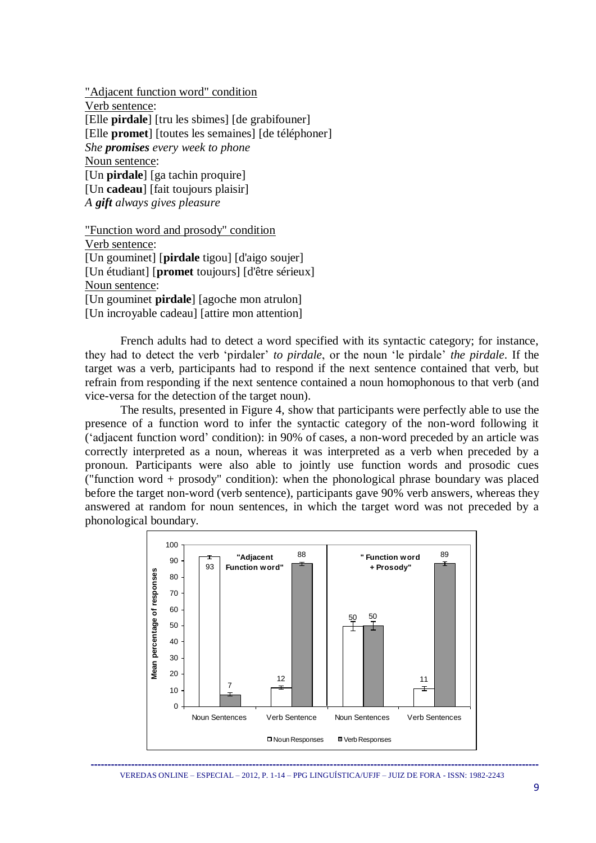"Adjacent function word" condition

Verb sentence: [Elle **pirdale**] [tru les sbimes] [de grabifouner] [Elle **promet**] [toutes les semaines] [de téléphoner] *She promises every week to phone* Noun sentence: [Un **pirdale**] [ga tachin proquire] [Un **cadeau**] [fait toujours plaisir] *A gift always gives pleasure*

"Function word and prosody" condition Verb sentence: [Un gouminet] [**pirdale** tigou] [d'aigo soujer] [Un étudiant] [**promet** toujours] [d'être sérieux] Noun sentence: [Un gouminet **pirdale**] [agoche mon atrulon] [Un incroyable cadeau] [attire mon attention]

French adults had to detect a word specified with its syntactic category; for instance, they had to detect the verb "pirdaler" *to pirdale*, or the noun "le pirdale" *the pirdale*. If the target was a verb, participants had to respond if the next sentence contained that verb, but refrain from responding if the next sentence contained a noun homophonous to that verb (and vice-versa for the detection of the target noun).

The results, presented in Figure 4, show that participants were perfectly able to use the presence of a function word to infer the syntactic category of the non-word following it ("adjacent function word" condition): in 90% of cases, a non-word preceded by an article was correctly interpreted as a noun, whereas it was interpreted as a verb when preceded by a pronoun. Participants were also able to jointly use function words and prosodic cues ("function word + prosody" condition): when the phonological phrase boundary was placed before the target non-word (verb sentence), participants gave 90% verb answers, whereas they answered at random for noun sentences, in which the target word was not preceded by a phonological boundary.

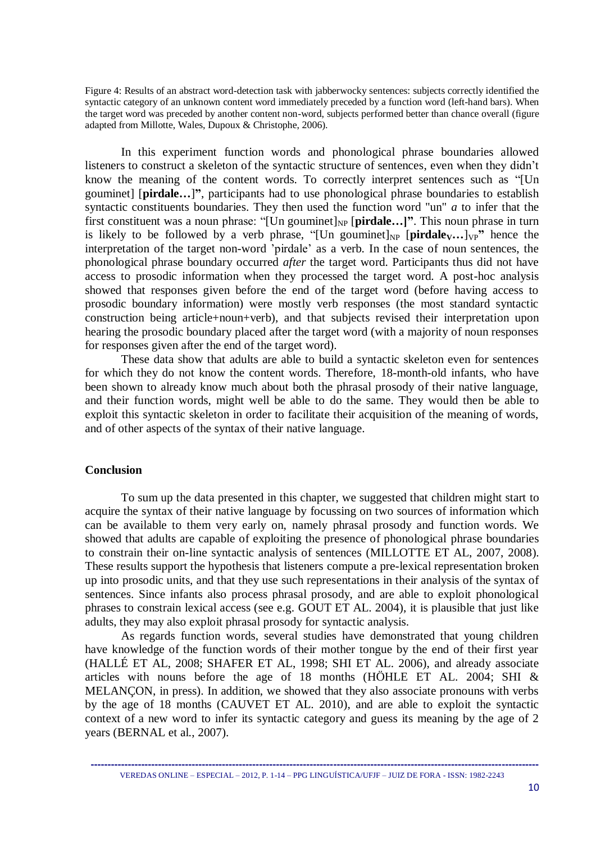Figure 4: Results of an abstract word-detection task with jabberwocky sentences: subjects correctly identified the syntactic category of an unknown content word immediately preceded by a function word (left-hand bars). When the target word was preceded by another content non-word, subjects performed better than chance overall (figure adapted from Millotte, Wales, Dupoux & Christophe, 2006).

In this experiment function words and phonological phrase boundaries allowed listeners to construct a skeleton of the syntactic structure of sentences, even when they didn"t know the meaning of the content words. To correctly interpret sentences such as "[Un gouminet] [**pirdale…**]**"**, participants had to use phonological phrase boundaries to establish syntactic constituents boundaries. They then used the function word "un" *a* to infer that the first constituent was a noun phrase: "[Un gouminet]<sub>NP</sub> [**pirdale...**]". This noun phrase in turn is likely to be followed by a verb phrase, "[Un gouminet]<sub>NP</sub> [pirdale<sub>V</sub> $\ldots$ ]<sub>VP</sub>" hence the interpretation of the target non-word "pirdale" as a verb. In the case of noun sentences, the phonological phrase boundary occurred *after* the target word. Participants thus did not have access to prosodic information when they processed the target word. A post-hoc analysis showed that responses given before the end of the target word (before having access to prosodic boundary information) were mostly verb responses (the most standard syntactic construction being article+noun+verb), and that subjects revised their interpretation upon hearing the prosodic boundary placed after the target word (with a majority of noun responses for responses given after the end of the target word).

These data show that adults are able to build a syntactic skeleton even for sentences for which they do not know the content words. Therefore, 18-month-old infants, who have been shown to already know much about both the phrasal prosody of their native language, and their function words, might well be able to do the same. They would then be able to exploit this syntactic skeleton in order to facilitate their acquisition of the meaning of words, and of other aspects of the syntax of their native language.

#### **Conclusion**

To sum up the data presented in this chapter, we suggested that children might start to acquire the syntax of their native language by focussing on two sources of information which can be available to them very early on, namely phrasal prosody and function words. We showed that adults are capable of exploiting the presence of phonological phrase boundaries to constrain their on-line syntactic analysis of sentences (MILLOTTE ET AL, 2007, 2008). These results support the hypothesis that listeners compute a pre-lexical representation broken up into prosodic units, and that they use such representations in their analysis of the syntax of sentences. Since infants also process phrasal prosody, and are able to exploit phonological phrases to constrain lexical access (see e.g. GOUT ET AL. 2004), it is plausible that just like adults, they may also exploit phrasal prosody for syntactic analysis.

As regards function words, several studies have demonstrated that young children have knowledge of the function words of their mother tongue by the end of their first year (HALLÉ ET AL, 2008; SHAFER ET AL, 1998; SHI ET AL. 2006), and already associate articles with nouns before the age of 18 months (HÖHLE ET AL. 2004; SHI & MELANÇON, in press). In addition, we showed that they also associate pronouns with verbs by the age of 18 months (CAUVET ET AL. 2010), and are able to exploit the syntactic context of a new word to infer its syntactic category and guess its meaning by the age of 2 years (BERNAL et al., 2007).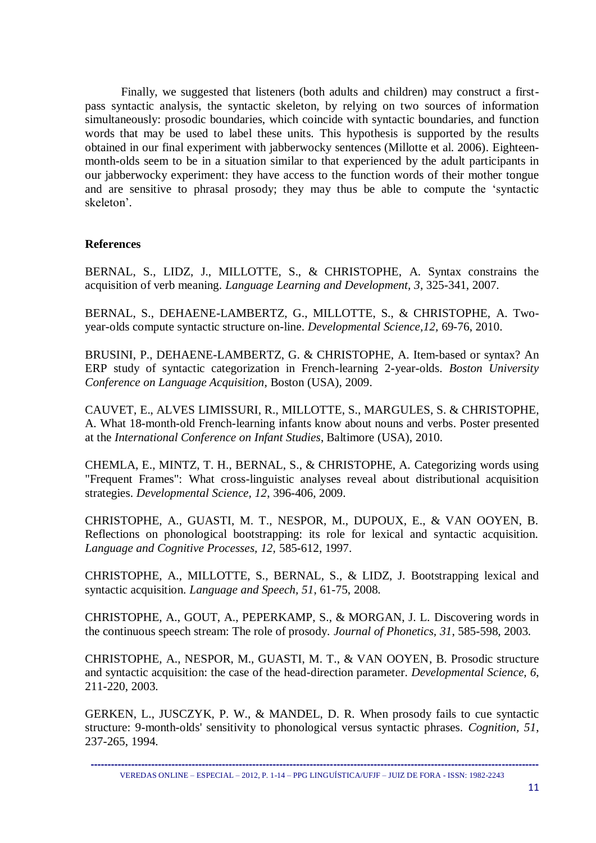Finally, we suggested that listeners (both adults and children) may construct a firstpass syntactic analysis, the syntactic skeleton, by relying on two sources of information simultaneously: prosodic boundaries, which coincide with syntactic boundaries, and function words that may be used to label these units. This hypothesis is supported by the results obtained in our final experiment with jabberwocky sentences (Millotte et al. 2006). Eighteenmonth-olds seem to be in a situation similar to that experienced by the adult participants in our jabberwocky experiment: they have access to the function words of their mother tongue and are sensitive to phrasal prosody; they may thus be able to compute the "syntactic skeleton'.

## **References**

BERNAL, S., LIDZ, J., MILLOTTE, S., & CHRISTOPHE, A. Syntax constrains the acquisition of verb meaning. *Language Learning and Development, 3*, 325-341, 2007.

BERNAL, S., DEHAENE-LAMBERTZ, G., MILLOTTE, S., & CHRISTOPHE, A. Twoyear-olds compute syntactic structure on-line. *Developmental Science,12,* 69-76, 2010.

BRUSINI, P., DEHAENE-LAMBERTZ, G. & CHRISTOPHE, A. Item-based or syntax? An ERP study of syntactic categorization in French-learning 2-year-olds. *Boston University Conference on Language Acquisition*, Boston (USA), 2009.

CAUVET, E., ALVES LIMISSURI, R., MILLOTTE, S., MARGULES, S. & CHRISTOPHE, A. What 18-month-old French-learning infants know about nouns and verbs. Poster presented at the *International Conference on Infant Studies*, Baltimore (USA), 2010.

CHEMLA, E., MINTZ, T. H., BERNAL, S., & CHRISTOPHE, A. Categorizing words using "Frequent Frames": What cross-linguistic analyses reveal about distributional acquisition strategies. *Developmental Science, 12*, 396-406, 2009.

CHRISTOPHE, A., GUASTI, M. T., NESPOR, M., DUPOUX, E., & VAN OOYEN, B. Reflections on phonological bootstrapping: its role for lexical and syntactic acquisition. *Language and Cognitive Processes, 12,* 585-612, 1997.

CHRISTOPHE, A., MILLOTTE, S., BERNAL, S., & LIDZ, J. Bootstrapping lexical and syntactic acquisition. *Language and Speech, 51*, 61-75, 2008.

CHRISTOPHE, A., GOUT, A., PEPERKAMP, S., & MORGAN, J. L. Discovering words in the continuous speech stream: The role of prosody. *Journal of Phonetics, 31*, 585-598, 2003.

CHRISTOPHE, A., NESPOR, M., GUASTI, M. T., & VAN OOYEN, B. Prosodic structure and syntactic acquisition: the case of the head-direction parameter. *Developmental Science, 6*, 211-220, 2003.

GERKEN, L., JUSCZYK, P. W., & MANDEL, D. R. When prosody fails to cue syntactic structure: 9-month-olds' sensitivity to phonological versus syntactic phrases. *Cognition, 51*, 237-265, 1994.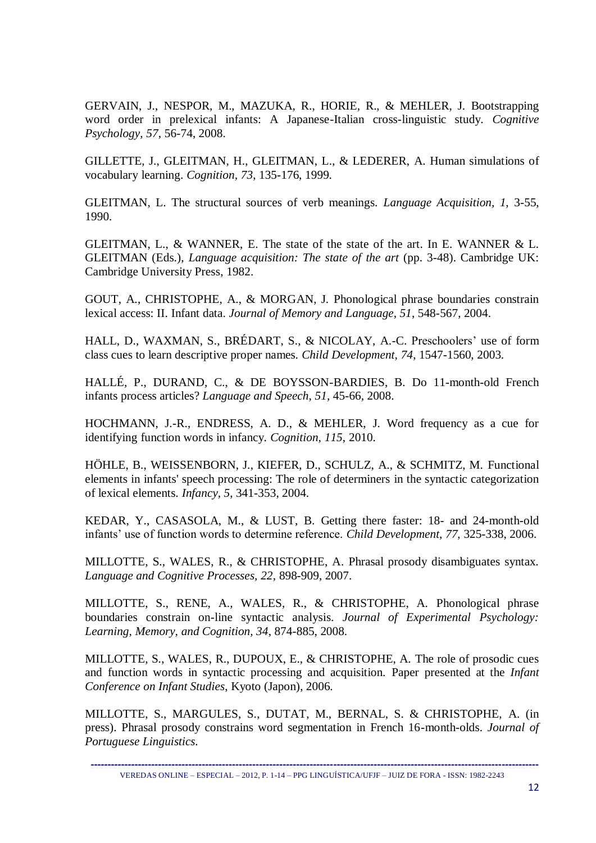GERVAIN, J., NESPOR, M., MAZUKA, R., HORIE, R., & MEHLER, J. Bootstrapping word order in prelexical infants: A Japanese-Italian cross-linguistic study. *Cognitive Psychology, 57*, 56-74, 2008.

GILLETTE, J., GLEITMAN, H., GLEITMAN, L., & LEDERER, A. Human simulations of vocabulary learning. *Cognition, 73*, 135-176, 1999.

GLEITMAN, L. The structural sources of verb meanings. *Language Acquisition, 1*, 3-55, 1990.

GLEITMAN, L., & WANNER, E. The state of the state of the art. In E. WANNER & L. GLEITMAN (Eds.), *Language acquisition: The state of the art* (pp. 3-48). Cambridge UK: Cambridge University Press, 1982.

GOUT, A., CHRISTOPHE, A., & MORGAN, J. Phonological phrase boundaries constrain lexical access: II. Infant data. *Journal of Memory and Language, 51*, 548-567, 2004.

HALL, D., WAXMAN, S., BRÉDART, S., & NICOLAY, A.-C. Preschoolers' use of form class cues to learn descriptive proper names. *Child Development, 74*, 1547-1560, 2003.

HALLÉ, P., DURAND, C., & DE BOYSSON-BARDIES, B. Do 11-month-old French infants process articles? *Language and Speech, 51,* 45-66, 2008.

HOCHMANN, J.-R., ENDRESS, A. D., & MEHLER, J. Word frequency as a cue for identifying function words in infancy. *Cognition, 115*, 2010.

HÖHLE, B., WEISSENBORN, J., KIEFER, D., SCHULZ, A., & SCHMITZ, M. Functional elements in infants' speech processing: The role of determiners in the syntactic categorization of lexical elements. *Infancy, 5*, 341-353, 2004.

KEDAR, Y., CASASOLA, M., & LUST, B. Getting there faster: 18- and 24-month-old infants' use of function words to determine reference. *Child Development*, 77, 325-338, 2006.

MILLOTTE, S., WALES, R., & CHRISTOPHE, A. Phrasal prosody disambiguates syntax. *Language and Cognitive Processes, 22*, 898-909, 2007.

MILLOTTE, S., RENE, A., WALES, R., & CHRISTOPHE, A. Phonological phrase boundaries constrain on-line syntactic analysis. *Journal of Experimental Psychology: Learning, Memory, and Cognition, 34*, 874-885, 2008.

MILLOTTE, S., WALES, R., DUPOUX, E., & CHRISTOPHE, A. The role of prosodic cues and function words in syntactic processing and acquisition. Paper presented at the *Infant Conference on Infant Studies*, Kyoto (Japon), 2006.

MILLOTTE, S., MARGULES, S., DUTAT, M., BERNAL, S. & CHRISTOPHE, A. (in press). Phrasal prosody constrains word segmentation in French 16-month-olds. *Journal of Portuguese Linguistics.*

**-------------------------------------------------------------------------------------------------------------------------------------** VEREDAS ONLINE – ESPECIAL – 2012, P. 1-14 – PPG LINGUÍSTICA/UFJF – JUIZ DE FORA - ISSN: 1982-2243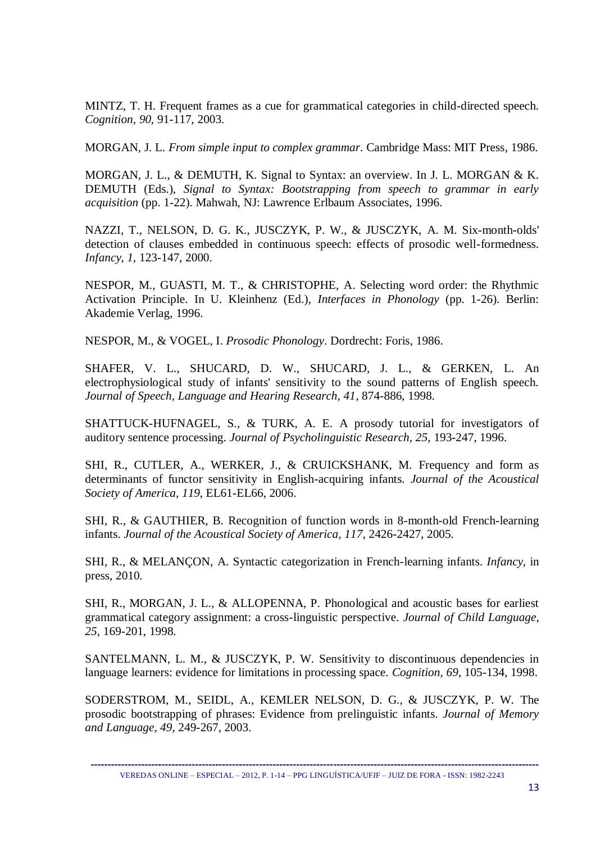MINTZ, T. H. Frequent frames as a cue for grammatical categories in child-directed speech. *Cognition, 90,* 91-117, 2003.

MORGAN, J. L. *From simple input to complex grammar*. Cambridge Mass: MIT Press, 1986.

MORGAN, J. L., & DEMUTH, K. Signal to Syntax: an overview. In J. L. MORGAN & K. DEMUTH (Eds.), *Signal to Syntax: Bootstrapping from speech to grammar in early acquisition* (pp. 1-22). Mahwah, NJ: Lawrence Erlbaum Associates, 1996.

NAZZI, T., NELSON, D. G. K., JUSCZYK, P. W., & JUSCZYK, A. M. Six-month-olds' detection of clauses embedded in continuous speech: effects of prosodic well-formedness. *Infancy, 1,* 123-147, 2000.

NESPOR, M., GUASTI, M. T., & CHRISTOPHE, A. Selecting word order: the Rhythmic Activation Principle. In U. Kleinhenz (Ed.), *Interfaces in Phonology* (pp. 1-26). Berlin: Akademie Verlag, 1996.

NESPOR, M., & VOGEL, I. *Prosodic Phonology*. Dordrecht: Foris, 1986.

SHAFER, V. L., SHUCARD, D. W., SHUCARD, J. L., & GERKEN, L. An electrophysiological study of infants' sensitivity to the sound patterns of English speech. *Journal of Speech, Language and Hearing Research, 41*, 874-886, 1998.

SHATTUCK-HUFNAGEL, S., & TURK, A. E. A prosody tutorial for investigators of auditory sentence processing. *Journal of Psycholinguistic Research, 25*, 193-247, 1996.

SHI, R., CUTLER, A., WERKER, J., & CRUICKSHANK, M. Frequency and form as determinants of functor sensitivity in English-acquiring infants. *Journal of the Acoustical Society of America, 119*, EL61-EL66, 2006.

SHI, R., & GAUTHIER, B. Recognition of function words in 8-month-old French-learning infants. *Journal of the Acoustical Society of America, 117*, 2426-2427, 2005.

SHI, R., & MELANÇON, A. Syntactic categorization in French-learning infants. *Infancy,* in press, 2010*.*

SHI, R., MORGAN, J. L., & ALLOPENNA, P. Phonological and acoustic bases for earliest grammatical category assignment: a cross-linguistic perspective. *Journal of Child Language, 25*, 169-201, 1998.

SANTELMANN, L. M., & JUSCZYK, P. W. Sensitivity to discontinuous dependencies in language learners: evidence for limitations in processing space. *Cognition, 69*, 105-134, 1998.

SODERSTROM, M., SEIDL, A., KEMLER NELSON, D. G., & JUSCZYK, P. W. The prosodic bootstrapping of phrases: Evidence from prelinguistic infants. *Journal of Memory and Language, 49*, 249-267, 2003.

**-------------------------------------------------------------------------------------------------------------------------------------** VEREDAS ONLINE – ESPECIAL – 2012, P. 1-14 – PPG LINGUÍSTICA/UFJF – JUIZ DE FORA - ISSN: 1982-2243